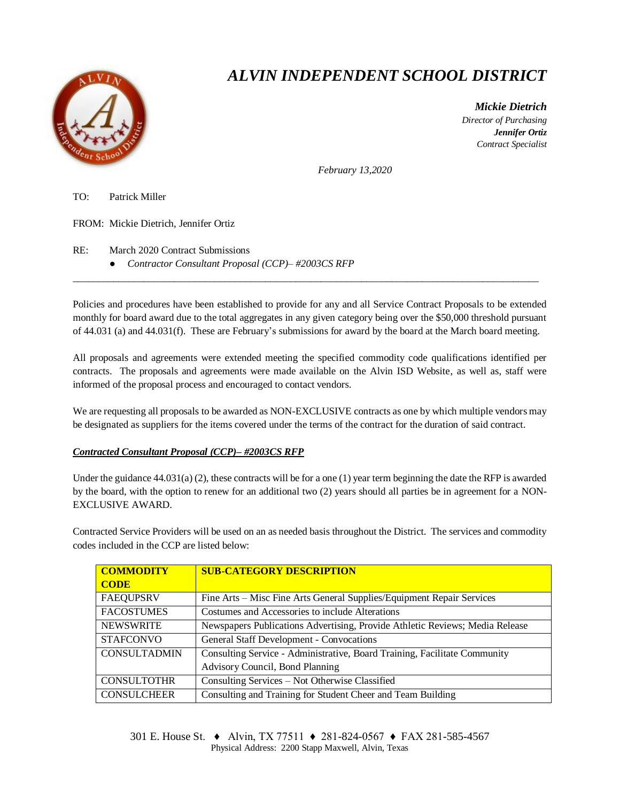

## *ALVIN INDEPENDENT SCHOOL DISTRICT*

 *Mickie Dietrich Director of Purchasing Jennifer Ortiz Contract Specialist*

*February 13,2020*

TO: Patrick Miller

FROM: Mickie Dietrich, Jennifer Ortiz

RE: March 2020 Contract Submissions

● *Contractor Consultant Proposal (CCP)– #2003CS RFP*

Policies and procedures have been established to provide for any and all Service Contract Proposals to be extended monthly for board award due to the total aggregates in any given category being over the \$50,000 threshold pursuant of 44.031 (a) and 44.031(f). These are February's submissions for award by the board at the March board meeting.

 $\overline{a}$  , and the state of the state of the state of the state of the state of the state of the state of the state of the state of the state of the state of the state of the state of the state of the state of the state o

All proposals and agreements were extended meeting the specified commodity code qualifications identified per contracts. The proposals and agreements were made available on the Alvin ISD Website, as well as, staff were informed of the proposal process and encouraged to contact vendors.

We are requesting all proposals to be awarded as NON-EXCLUSIVE contracts as one by which multiple vendors may be designated as suppliers for the items covered under the terms of the contract for the duration of said contract.

## *Contracted Consultant Proposal (CCP)– #2003CS RFP*

Under the guidance  $44.031(a)(2)$ , these contracts will be for a one (1) year term beginning the date the RFP is awarded by the board, with the option to renew for an additional two (2) years should all parties be in agreement for a NON-EXCLUSIVE AWARD.

Contracted Service Providers will be used on an as needed basis throughout the District. The services and commodity codes included in the CCP are listed below:

| <b>COMMODITY</b>    | <b>SUB-CATEGORY DESCRIPTION</b>                                              |  |
|---------------------|------------------------------------------------------------------------------|--|
| <b>CODE</b>         |                                                                              |  |
| <b>FAEQUPSRV</b>    | Fine Arts – Misc Fine Arts General Supplies/Equipment Repair Services        |  |
| <b>FACOSTUMES</b>   | Costumes and Accessories to include Alterations                              |  |
| <b>NEWSWRITE</b>    | Newspapers Publications Advertising, Provide Athletic Reviews; Media Release |  |
| <b>STAFCONVO</b>    | General Staff Development - Convocations                                     |  |
| <b>CONSULTADMIN</b> | Consulting Service - Administrative, Board Training, Facilitate Community    |  |
|                     | Advisory Council, Bond Planning                                              |  |
| <b>CONSULTOTHR</b>  | Consulting Services – Not Otherwise Classified                               |  |
| <b>CONSULCHEER</b>  | Consulting and Training for Student Cheer and Team Building                  |  |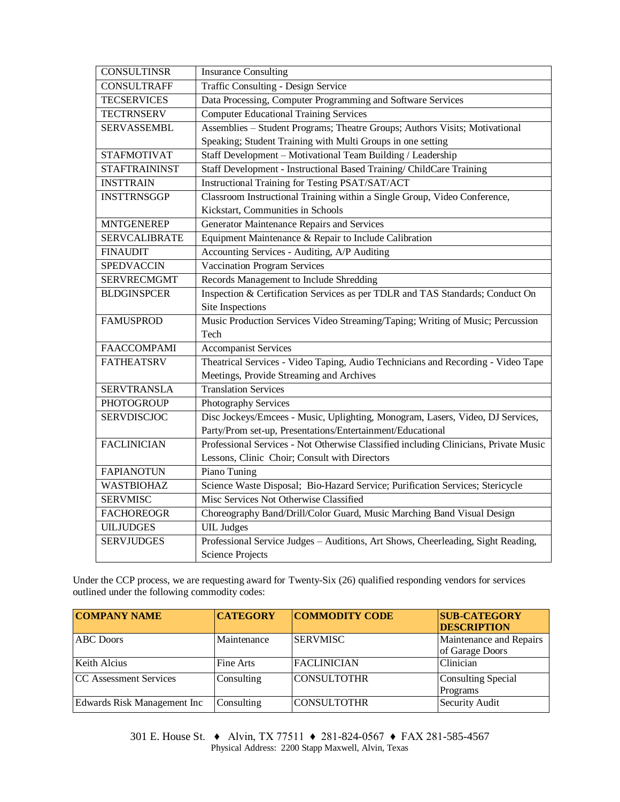| <b>CONSULTINSR</b>   | <b>Insurance Consulting</b>                                                          |  |  |  |
|----------------------|--------------------------------------------------------------------------------------|--|--|--|
| <b>CONSULTRAFF</b>   | Traffic Consulting - Design Service                                                  |  |  |  |
| <b>TECSERVICES</b>   | Data Processing, Computer Programming and Software Services                          |  |  |  |
| <b>TECTRNSERV</b>    | <b>Computer Educational Training Services</b>                                        |  |  |  |
| <b>SERVASSEMBL</b>   | Assemblies - Student Programs; Theatre Groups; Authors Visits; Motivational          |  |  |  |
|                      | Speaking; Student Training with Multi Groups in one setting                          |  |  |  |
| <b>STAFMOTIVAT</b>   | Staff Development - Motivational Team Building / Leadership                          |  |  |  |
| <b>STAFTRAININST</b> | Staff Development - Instructional Based Training/ ChildCare Training                 |  |  |  |
| <b>INSTTRAIN</b>     | Instructional Training for Testing PSAT/SAT/ACT                                      |  |  |  |
| <b>INSTTRNSGGP</b>   | Classroom Instructional Training within a Single Group, Video Conference,            |  |  |  |
|                      | Kickstart, Communities in Schools                                                    |  |  |  |
| <b>MNTGENEREP</b>    | Generator Maintenance Repairs and Services                                           |  |  |  |
| <b>SERVCALIBRATE</b> | Equipment Maintenance & Repair to Include Calibration                                |  |  |  |
| <b>FINAUDIT</b>      | Accounting Services - Auditing, A/P Auditing                                         |  |  |  |
| <b>SPEDVACCIN</b>    | <b>Vaccination Program Services</b>                                                  |  |  |  |
| <b>SERVRECMGMT</b>   | Records Management to Include Shredding                                              |  |  |  |
| <b>BLDGINSPCER</b>   | Inspection & Certification Services as per TDLR and TAS Standards; Conduct On        |  |  |  |
|                      | Site Inspections                                                                     |  |  |  |
| <b>FAMUSPROD</b>     | Music Production Services Video Streaming/Taping; Writing of Music; Percussion       |  |  |  |
|                      | Tech                                                                                 |  |  |  |
| <b>FAACCOMPAMI</b>   | Accompanist Services                                                                 |  |  |  |
| <b>FATHEATSRV</b>    | Theatrical Services - Video Taping, Audio Technicians and Recording - Video Tape     |  |  |  |
|                      | Meetings, Provide Streaming and Archives                                             |  |  |  |
| <b>SERVTRANSLA</b>   | <b>Translation Services</b>                                                          |  |  |  |
| PHOTOGROUP           | Photography Services                                                                 |  |  |  |
| <b>SERVDISCJOC</b>   | Disc Jockeys/Emcees - Music, Uplighting, Monogram, Lasers, Video, DJ Services,       |  |  |  |
|                      | Party/Prom set-up, Presentations/Entertainment/Educational                           |  |  |  |
| <b>FACLINICIAN</b>   | Professional Services - Not Otherwise Classified including Clinicians, Private Music |  |  |  |
|                      | Lessons, Clinic Choir; Consult with Directors                                        |  |  |  |
| <b>FAPIANOTUN</b>    | Piano Tuning                                                                         |  |  |  |
| <b>WASTBIOHAZ</b>    | Science Waste Disposal; Bio-Hazard Service; Purification Services; Stericycle        |  |  |  |
| <b>SERVMISC</b>      | Misc Services Not Otherwise Classified                                               |  |  |  |
| <b>FACHOREOGR</b>    | Choreography Band/Drill/Color Guard, Music Marching Band Visual Design               |  |  |  |
| <b>UILJUDGES</b>     | <b>UIL</b> Judges                                                                    |  |  |  |
| <b>SERVJUDGES</b>    | Professional Service Judges - Auditions, Art Shows, Cheerleading, Sight Reading,     |  |  |  |
|                      | Science Projects                                                                     |  |  |  |

Under the CCP process, we are requesting award for Twenty-Six (26) qualified responding vendors for services outlined under the following commodity codes:

| <b>COMPANY NAME</b>                 | <b>CATEGORY</b> | <b>COMMODITY CODE</b> | <b>SUB-CATEGORY</b><br><b>DESCRIPTION</b>  |
|-------------------------------------|-----------------|-----------------------|--------------------------------------------|
| <b>ABC</b> Doors                    | Maintenance     | <b>SERVMISC</b>       | Maintenance and Repairs<br>of Garage Doors |
| <b>Keith Alcius</b>                 | Fine Arts       | <b>FACLINICIAN</b>    | Clinician                                  |
| <b>CC</b> Assessment Services       | Consulting      | <b>CONSULTOTHR</b>    | Consulting Special<br>Programs             |
| <b>Edwards Risk Management Inc.</b> | Consulting      | <b>CONSULTOTHR</b>    | Security Audit                             |